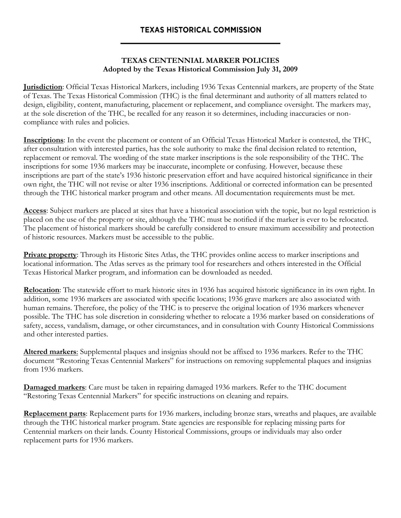## **TEXAS HISTORICAL COMMISSION**

## **TEXAS CENTENNIAL MARKER POLICIES Adopted by the Texas Historical Commission July 31, 2009**

**Jurisdiction**: Official Texas Historical Markers, including 1936 Texas Centennial markers, are property of the State of Texas. The Texas Historical Commission (THC) is the final determinant and authority of all matters related to design, eligibility, content, manufacturing, placement or replacement, and compliance oversight. The markers may, at the sole discretion of the THC, be recalled for any reason it so determines, including inaccuracies or noncompliance with rules and policies.

**Inscriptions**: In the event the placement or content of an Official Texas Historical Marker is contested, the THC, after consultation with interested parties, has the sole authority to make the final decision related to retention, replacement or removal. The wording of the state marker inscriptions is the sole responsibility of the THC. The inscriptions for some 1936 markers may be inaccurate, incomplete or confusing. However, because these inscriptions are part of the state's 1936 historic preservation effort and have acquired historical significance in their own right, the THC will not revise or alter 1936 inscriptions. Additional or corrected information can be presented through the THC historical marker program and other means. All documentation requirements must be met.

**Access**: Subject markers are placed at sites that have a historical association with the topic, but no legal restriction is placed on the use of the property or site, although the THC must be notified if the marker is ever to be relocated. The placement of historical markers should be carefully considered to ensure maximum accessibility and protection of historic resources. Markers must be accessible to the public.

**Private property:** Through its Historic Sites Atlas, the THC provides online access to marker inscriptions and locational information. The Atlas serves as the primary tool for researchers and others interested in the Official Texas Historical Marker program, and information can be downloaded as needed.

**Relocation**: The statewide effort to mark historic sites in 1936 has acquired historic significance in its own right. In addition, some 1936 markers are associated with specific locations; 1936 grave markers are also associated with human remains. Therefore, the policy of the THC is to preserve the original location of 1936 markers whenever possible. The THC has sole discretion in considering whether to relocate a 1936 marker based on considerations of safety, access, vandalism, damage, or other circumstances, and in consultation with County Historical Commissions and other interested parties.

**Altered markers**: Supplemental plaques and insignias should not be affixed to 1936 markers. Refer to the THC document "Restoring Texas Centennial Markers" for instructions on removing supplemental plaques and insignias from 1936 markers.

**Damaged markers**: Care must be taken in repairing damaged 1936 markers. Refer to the THC document "Restoring Texas Centennial Markers" for specific instructions on cleaning and repairs.

**Replacement parts**: Replacement parts for 1936 markers, including bronze stars, wreaths and plaques, are available through the THC historical marker program. State agencies are responsible for replacing missing parts for Centennial markers on their lands. County Historical Commissions, groups or individuals may also order replacement parts for 1936 markers.